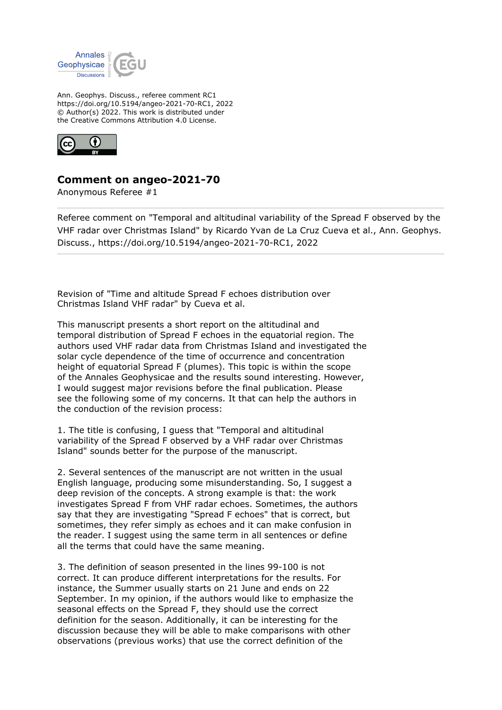

Ann. Geophys. Discuss., referee comment RC1 https://doi.org/10.5194/angeo-2021-70-RC1, 2022 © Author(s) 2022. This work is distributed under the Creative Commons Attribution 4.0 License.



## **Comment on angeo-2021-70**

Anonymous Referee #1

Referee comment on "Temporal and altitudinal variability of the Spread F observed by the VHF radar over Christmas Island" by Ricardo Yvan de La Cruz Cueva et al., Ann. Geophys. Discuss., https://doi.org/10.5194/angeo-2021-70-RC1, 2022

Revision of "Time and altitude Spread F echoes distribution over Christmas Island VHF radar" by Cueva et al.

This manuscript presents a short report on the altitudinal and temporal distribution of Spread F echoes in the equatorial region. The authors used VHF radar data from Christmas Island and investigated the solar cycle dependence of the time of occurrence and concentration height of equatorial Spread F (plumes). This topic is within the scope of the Annales Geophysicae and the results sound interesting. However, I would suggest major revisions before the final publication. Please see the following some of my concerns. It that can help the authors in the conduction of the revision process:

1. The title is confusing, I guess that "Temporal and altitudinal variability of the Spread F observed by a VHF radar over Christmas Island" sounds better for the purpose of the manuscript.

2. Several sentences of the manuscript are not written in the usual English language, producing some misunderstanding. So, I suggest a deep revision of the concepts. A strong example is that: the work investigates Spread F from VHF radar echoes. Sometimes, the authors say that they are investigating "Spread F echoes" that is correct, but sometimes, they refer simply as echoes and it can make confusion in the reader. I suggest using the same term in all sentences or define all the terms that could have the same meaning.

3. The definition of season presented in the lines 99-100 is not correct. It can produce different interpretations for the results. For instance, the Summer usually starts on 21 June and ends on 22 September. In my opinion, if the authors would like to emphasize the seasonal effects on the Spread F, they should use the correct definition for the season. Additionally, it can be interesting for the discussion because they will be able to make comparisons with other observations (previous works) that use the correct definition of the